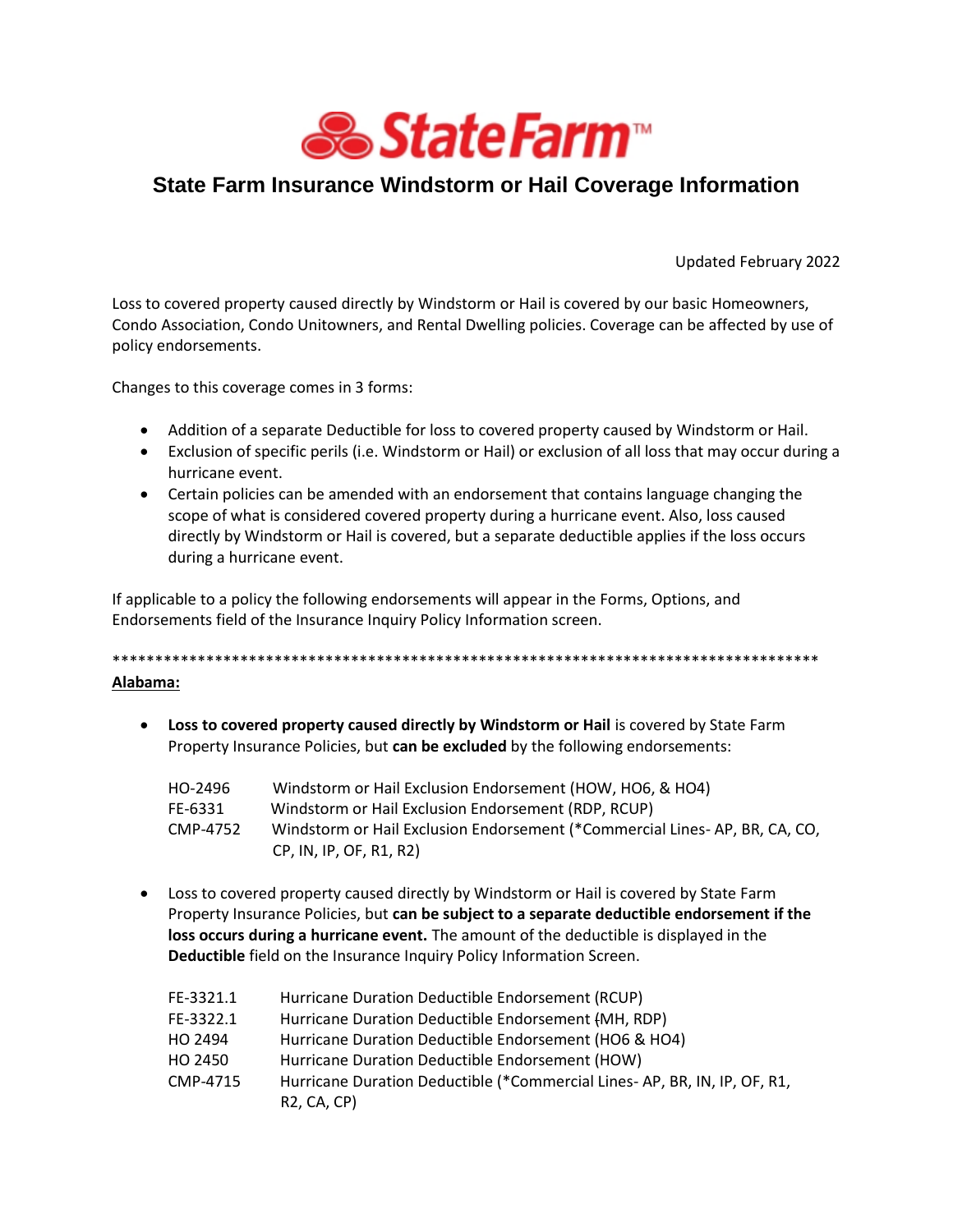

# State Farm Insurance Windstorm or Hail Coverage Information

Updated February 2022

Loss to covered property caused directly by Windstorm or Hail is covered by our basic Homeowners, Condo Association, Condo Unitowners, and Rental Dwelling policies. Coverage can be affected by use of policy endorsements.

Changes to this coverage comes in 3 forms:

- Addition of a separate Deductible for loss to covered property caused by Windstorm or Hail.
- Exclusion of specific perils (i.e. Windstorm or Hail) or exclusion of all loss that may occur during a hurricane event.
- Certain policies can be amended with an endorsement that contains language changing the scope of what is considered covered property during a hurricane event. Also, loss caused directly by Windstorm or Hail is covered, but a separate deductible applies if the loss occurs during a hurricane event.

If applicable to a policy the following endorsements will appear in the Forms, Options, and Endorsements field of the Insurance Inquiry Policy Information screen.

# 

# Alabama:

• Loss to covered property caused directly by Windstorm or Hail is covered by State Farm Property Insurance Policies, but can be excluded by the following endorsements:

| HO-2496  | Windstorm or Hail Exclusion Endorsement (HOW, HO6, & HO4)                  |
|----------|----------------------------------------------------------------------------|
| FE-6331  | Windstorm or Hail Exclusion Endorsement (RDP, RCUP)                        |
| CMP-4752 | Windstorm or Hail Exclusion Endorsement (*Commercial Lines-AP, BR, CA, CO, |
|          | CP, IN, IP, OF, R1, R2)                                                    |

• Loss to covered property caused directly by Windstorm or Hail is covered by State Farm Property Insurance Policies, but can be subject to a separate deductible endorsement if the loss occurs during a hurricane event. The amount of the deductible is displayed in the Deductible field on the Insurance Inquiry Policy Information Screen.

| FE-3321.1 | Hurricane Duration Deductible Endorsement (RCUP)                         |
|-----------|--------------------------------------------------------------------------|
| FE-3322.1 | Hurricane Duration Deductible Endorsement (MH, RDP)                      |
| HO 2494   | Hurricane Duration Deductible Endorsement (HO6 & HO4)                    |
| HO 2450   | Hurricane Duration Deductible Endorsement (HOW)                          |
| CMP-4715  | Hurricane Duration Deductible (*Commercial Lines- AP, BR, IN, IP, OF, R1 |
|           | <b>R2, CA, CP)</b>                                                       |
|           |                                                                          |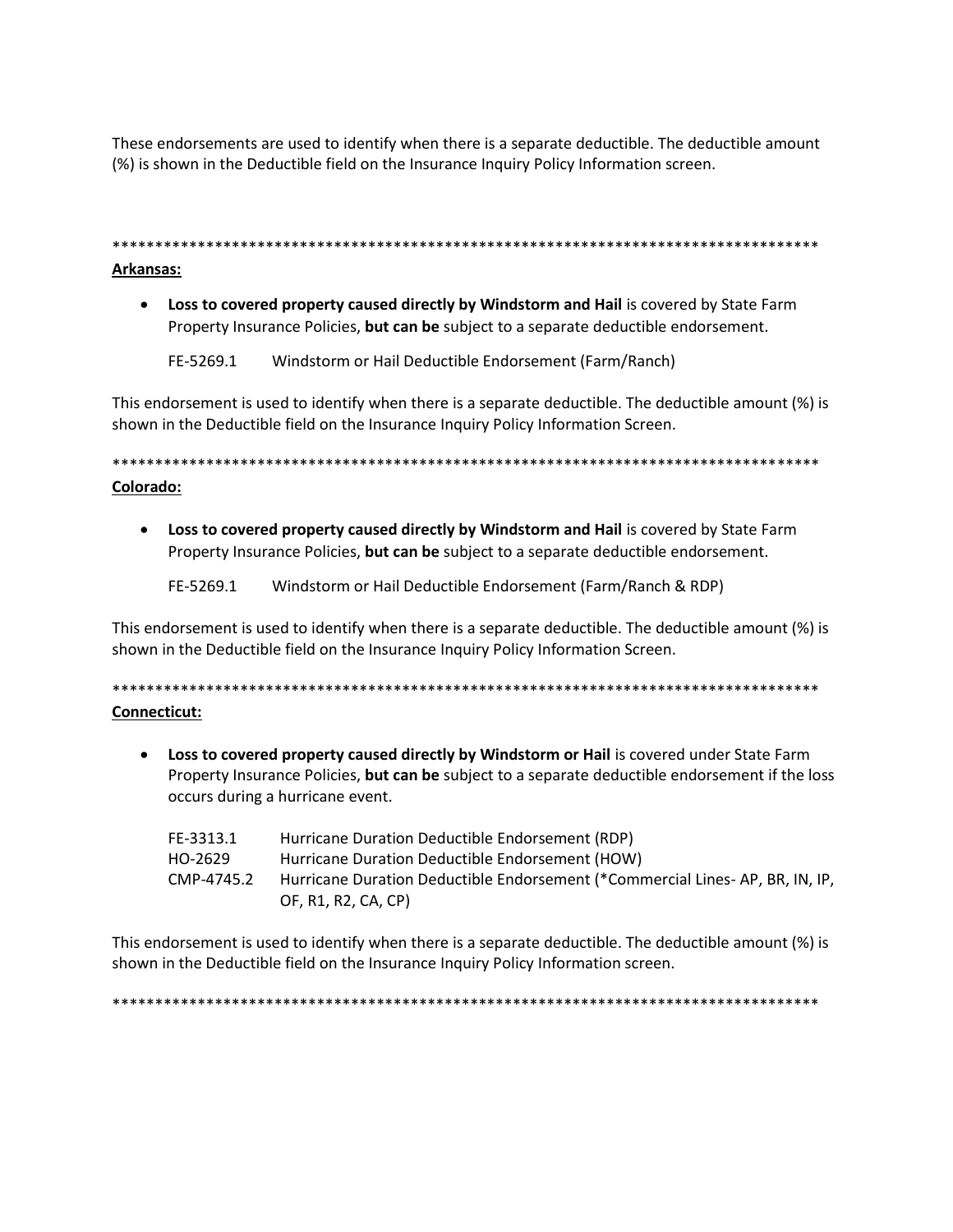These endorsements are used to identify when there is a separate deductible. The deductible amount (%) is shown in the Deductible field on the Insurance Inquiry Policy Information screen.

Arkansas:

• Loss to covered property caused directly by Windstorm and Hail is covered by State Farm Property Insurance Policies, but can be subject to a separate deductible endorsement.

FE-5269.1 Windstorm or Hail Deductible Endorsement (Farm/Ranch)

This endorsement is used to identify when there is a separate deductible. The deductible amount (%) is shown in the Deductible field on the Insurance Inquiry Policy Information Screen.

Colorado:

• Loss to covered property caused directly by Windstorm and Hail is covered by State Farm Property Insurance Policies, but can be subject to a separate deductible endorsement.

FE-5269.1 Windstorm or Hail Deductible Endorsement (Farm/Ranch & RDP)

This endorsement is used to identify when there is a separate deductible. The deductible amount (%) is shown in the Deductible field on the Insurance Inquiry Policy Information Screen.

# Connecticut:

• Loss to covered property caused directly by Windstorm or Hail is covered under State Farm Property Insurance Policies, but can be subject to a separate deductible endorsement if the loss occurs during a hurricane event.

| FE-3313.1  | Hurricane Duration Deductible Endorsement (RDP)                              |
|------------|------------------------------------------------------------------------------|
| HO-2629    | Hurricane Duration Deductible Endorsement (HOW)                              |
| CMP-4745.2 | Hurricane Duration Deductible Endorsement (*Commercial Lines-AP, BR, IN, IP, |
|            | OF, R1, R2, CA, CP)                                                          |

This endorsement is used to identify when there is a separate deductible. The deductible amount (%) is shown in the Deductible field on the Insurance Inquiry Policy Information screen.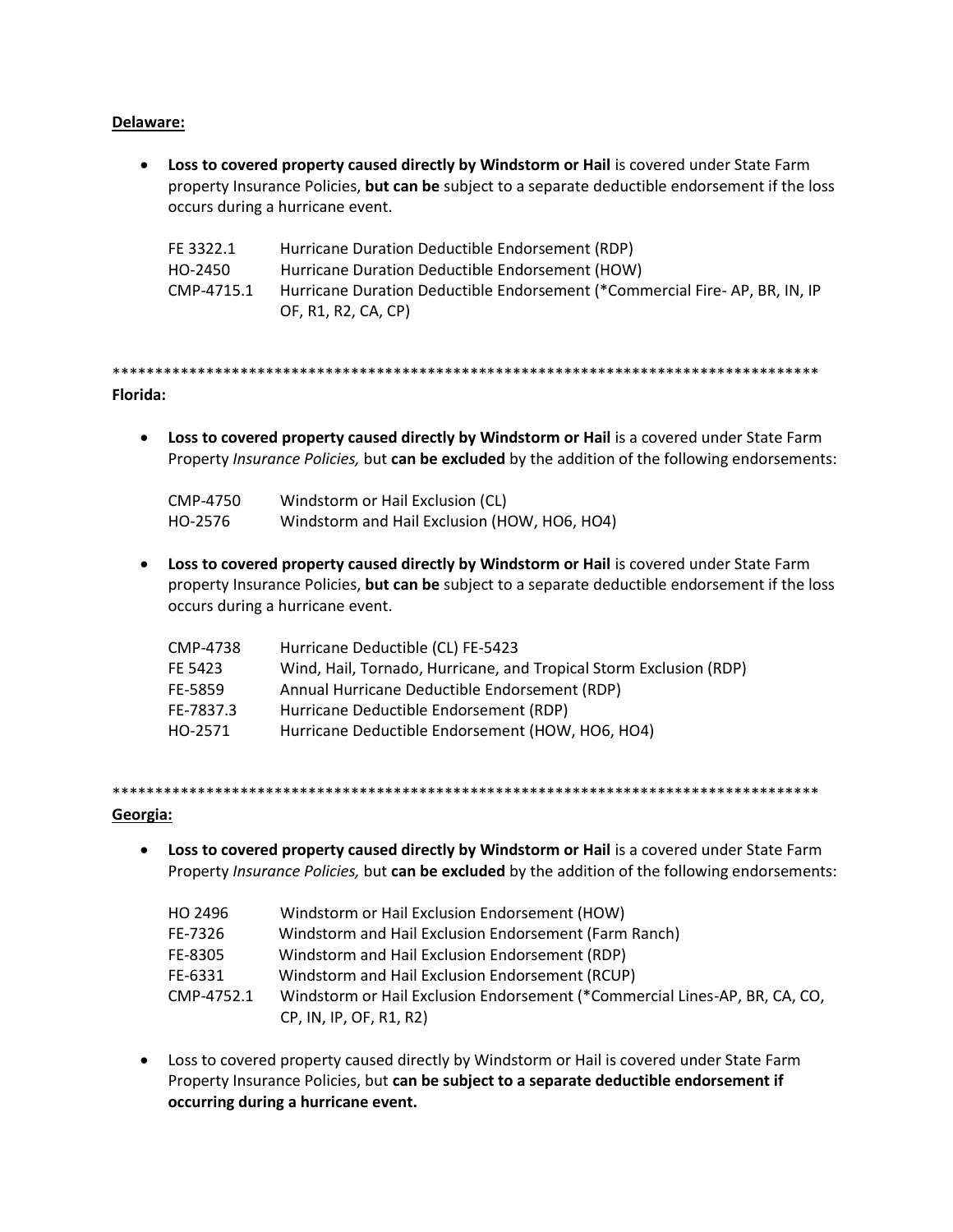# Delaware:

• Loss to covered property caused directly by Windstorm or Hail is covered under State Farm property Insurance Policies, but can be subject to a separate deductible endorsement if the loss occurs during a hurricane event.

| FE 3322.1  | Hurricane Duration Deductible Endorsement (RDP)                            |
|------------|----------------------------------------------------------------------------|
| HO-2450    | Hurricane Duration Deductible Endorsement (HOW)                            |
| CMP-4715.1 | Hurricane Duration Deductible Endorsement (*Commercial Fire-AP, BR, IN, IP |
|            | OF, R1, R2, CA, CP)                                                        |

# Florida:

• Loss to covered property caused directly by Windstorm or Hail is a covered under State Farm Property Insurance Policies, but can be excluded by the addition of the following endorsements:

| CMP-4750 | Windstorm or Hail Exclusion (CL)             |
|----------|----------------------------------------------|
| HO-2576  | Windstorm and Hail Exclusion (HOW, HO6, HO4) |

• Loss to covered property caused directly by Windstorm or Hail is covered under State Farm property Insurance Policies, but can be subject to a separate deductible endorsement if the loss occurs during a hurricane event.

| CMP-4738  | Hurricane Deductible (CL) FE-5423                                  |
|-----------|--------------------------------------------------------------------|
| FE 5423   | Wind, Hail, Tornado, Hurricane, and Tropical Storm Exclusion (RDP) |
| FE-5859   | Annual Hurricane Deductible Endorsement (RDP)                      |
| FE-7837.3 | Hurricane Deductible Endorsement (RDP)                             |
| HO-2571   | Hurricane Deductible Endorsement (HOW, HO6, HO4)                   |

#### Georgia:

• Loss to covered property caused directly by Windstorm or Hail is a covered under State Farm Property Insurance Policies, but can be excluded by the addition of the following endorsements:

| HO 2496    | Windstorm or Hail Exclusion Endorsement (HOW)                              |
|------------|----------------------------------------------------------------------------|
| FE-7326    | Windstorm and Hail Exclusion Endorsement (Farm Ranch)                      |
| FE-8305    | Windstorm and Hail Exclusion Endorsement (RDP)                             |
| FE-6331    | Windstorm and Hail Exclusion Endorsement (RCUP)                            |
| CMP-4752.1 | Windstorm or Hail Exclusion Endorsement (*Commercial Lines-AP, BR, CA, CO, |
|            | CP, IN, IP, OF, R1, R2)                                                    |

• Loss to covered property caused directly by Windstorm or Hail is covered under State Farm Property Insurance Policies, but can be subject to a separate deductible endorsement if occurring during a hurricane event.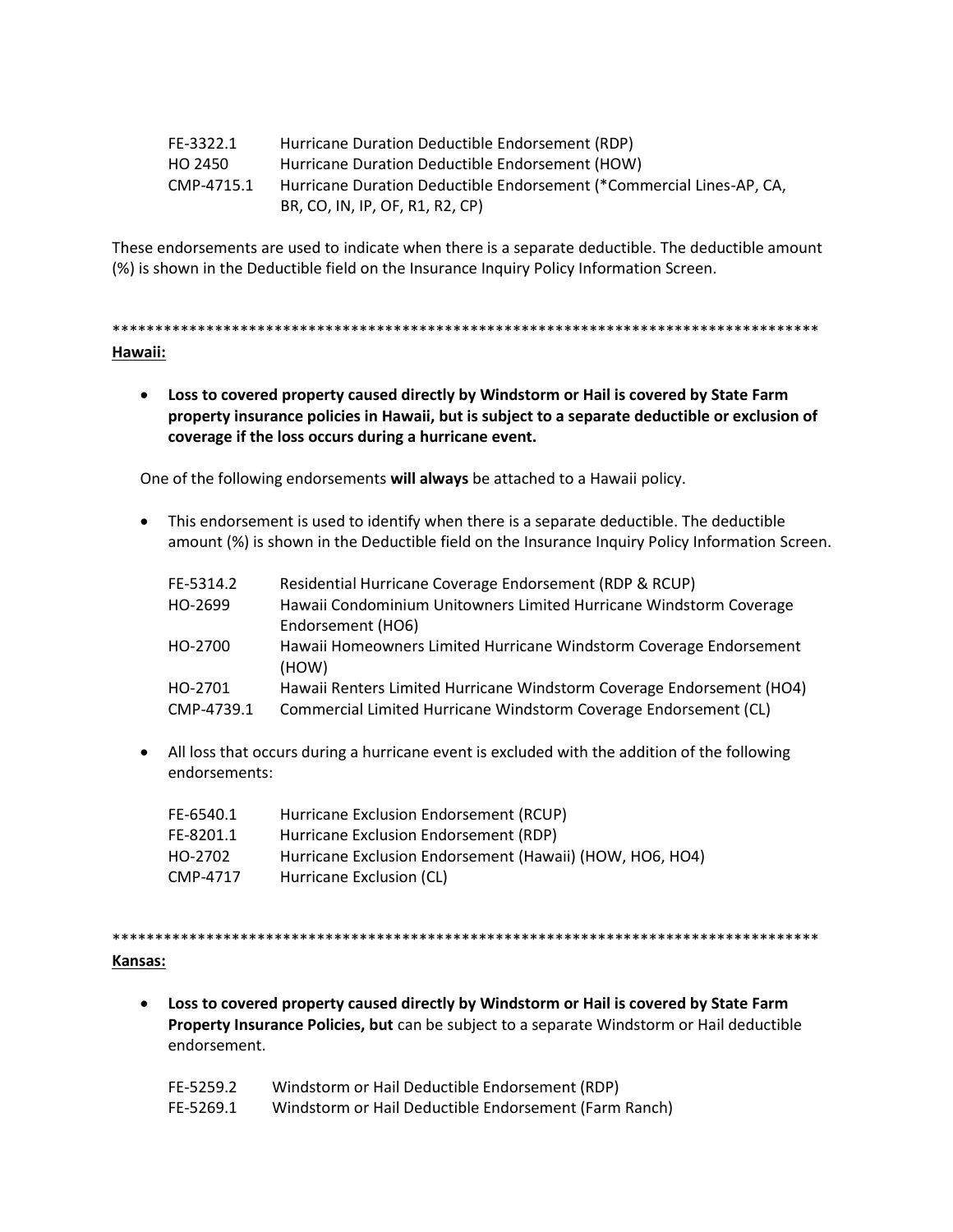| FE-3322.1  | Hurricane Duration Deductible Endorsement (RDP)                      |
|------------|----------------------------------------------------------------------|
| HO 2450    | Hurricane Duration Deductible Endorsement (HOW)                      |
| CMP-4715.1 | Hurricane Duration Deductible Endorsement (*Commercial Lines-AP, CA, |
|            | BR, CO, IN, IP, OF, R1, R2, CP)                                      |

These endorsements are used to indicate when there is a separate deductible. The deductible amount (%) is shown in the Deductible field on the Insurance Inquiry Policy Information Screen.

\*\*\*\*\*\*\*\*\*\*\*\*\*\*\*\*\*\*\*\*\*\*\*\*\*\*\*\*\*\*\*\*\*\*\*\*\*\*\*\*\*\*\*\*\*\*\*\*\*\*\*\*\*\*\*\*\*\*\*\*\*\*\*\*\*\*\*\*\*\*\*\*\*\*\*\*\*\*\*\*\*\*\* **Hawaii:**

 **Loss to covered property caused directly by Windstorm or Hail is covered by State Farm property insurance policies in Hawaii, but is subject to a separate deductible or exclusion of coverage if the loss occurs during a hurricane event.**

One of the following endorsements **will always** be attached to a Hawaii policy.

 This endorsement is used to identify when there is a separate deductible. The deductible amount (%) is shown in the Deductible field on the Insurance Inquiry Policy Information Screen.

| FE-5314.2<br>HO-2699  | Residential Hurricane Coverage Endorsement (RDP & RCUP)<br>Hawaii Condominium Unitowners Limited Hurricane Windstorm Coverage<br>Endorsement (HO6) |
|-----------------------|----------------------------------------------------------------------------------------------------------------------------------------------------|
| HO-2700               | Hawaii Homeowners Limited Hurricane Windstorm Coverage Endorsement<br>(HOW)                                                                        |
| HO-2701<br>CMP-4739.1 | Hawaii Renters Limited Hurricane Windstorm Coverage Endorsement (HO4)<br>Commercial Limited Hurricane Windstorm Coverage Endorsement (CL)          |

 All loss that occurs during a hurricane event is excluded with the addition of the following endorsements:

| Hurricane Exclusion Endorsement (RCUP)                   |
|----------------------------------------------------------|
| Hurricane Exclusion Endorsement (RDP)                    |
| Hurricane Exclusion Endorsement (Hawaii) (HOW, HO6, HO4) |
| Hurricane Exclusion (CL)                                 |
|                                                          |

\*\*\*\*\*\*\*\*\*\*\*\*\*\*\*\*\*\*\*\*\*\*\*\*\*\*\*\*\*\*\*\*\*\*\*\*\*\*\*\*\*\*\*\*\*\*\*\*\*\*\*\*\*\*\*\*\*\*\*\*\*\*\*\*\*\*\*\*\*\*\*\*\*\*\*\*\*\*\*\*\*\*\*

# **Kansas:**

- **Loss to covered property caused directly by Windstorm or Hail is covered by State Farm Property Insurance Policies, but** can be subject to a separate Windstorm or Hail deductible endorsement.
	- FE-5259.2 Windstorm or Hail Deductible Endorsement (RDP)
	- FE-5269.1 Windstorm or Hail Deductible Endorsement (Farm Ranch)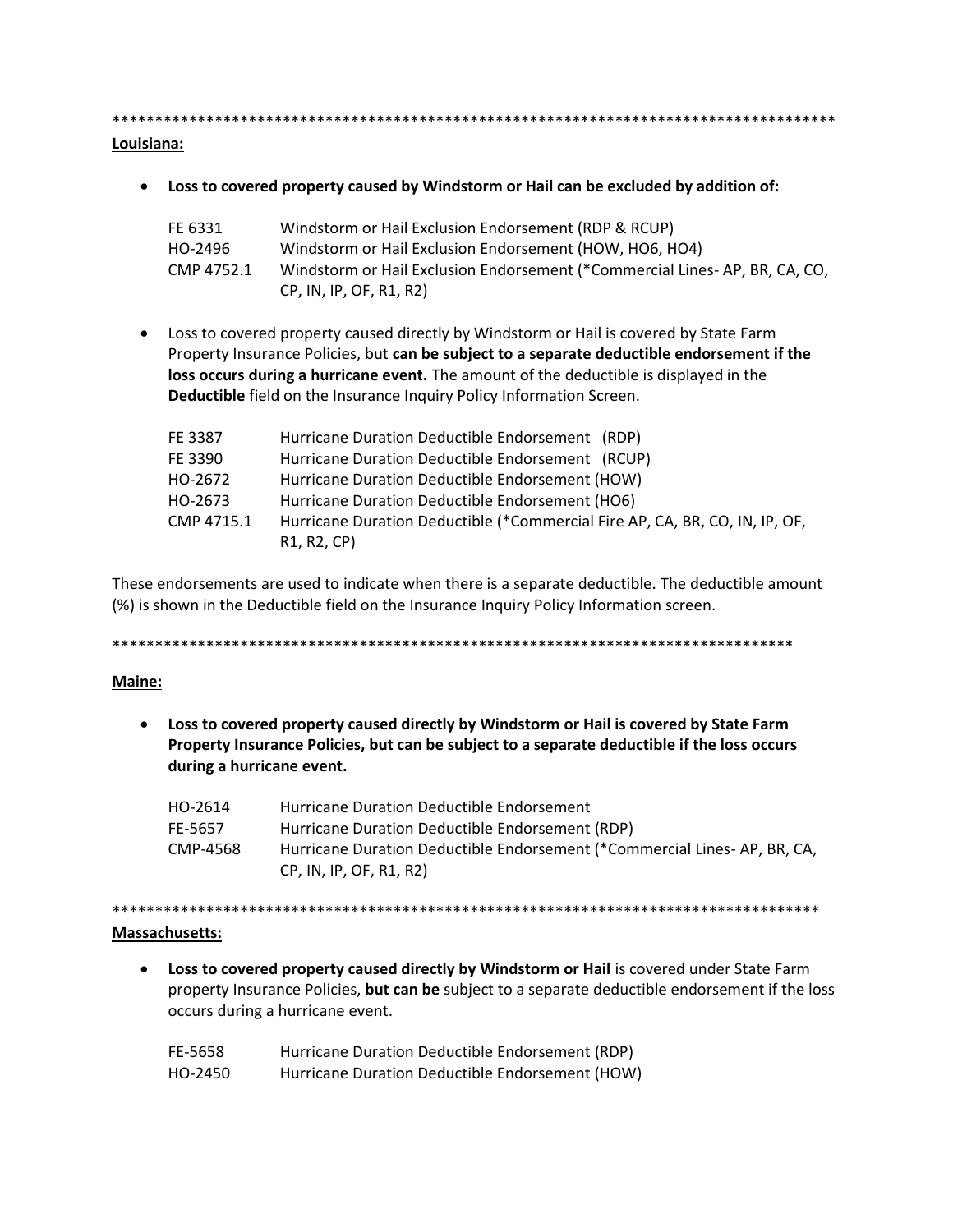Louisiana:

• Loss to covered property caused by Windstorm or Hail can be excluded by addition of:

| FE 6331    | Windstorm or Hail Exclusion Endorsement (RDP & RCUP)                       |
|------------|----------------------------------------------------------------------------|
| HO-2496    | Windstorm or Hail Exclusion Endorsement (HOW, HO6, HO4)                    |
| CMP 4752.1 | Windstorm or Hail Exclusion Endorsement (*Commercial Lines-AP, BR, CA, CO, |
|            | CP, IN, IP, OF, R1, R2)                                                    |

• Loss to covered property caused directly by Windstorm or Hail is covered by State Farm Property Insurance Policies, but can be subject to a separate deductible endorsement if the loss occurs during a hurricane event. The amount of the deductible is displayed in the Deductible field on the Insurance Inquiry Policy Information Screen.

| FE 3387    | Hurricane Duration Deductible Endorsement (RDP)                             |
|------------|-----------------------------------------------------------------------------|
| FE 3390    | Hurricane Duration Deductible Endorsement (RCUP)                            |
| HO-2672    | Hurricane Duration Deductible Endorsement (HOW)                             |
| HO-2673    | Hurricane Duration Deductible Endorsement (HO6)                             |
| CMP 4715.1 | Hurricane Duration Deductible (*Commercial Fire AP, CA, BR, CO, IN, IP, OF, |
|            | R <sub>1</sub> , R <sub>2</sub> , CP)                                       |

These endorsements are used to indicate when there is a separate deductible. The deductible amount (%) is shown in the Deductible field on the Insurance Inquiry Policy Information screen.

# Maine:

• Loss to covered property caused directly by Windstorm or Hail is covered by State Farm Property Insurance Policies, but can be subject to a separate deductible if the loss occurs during a hurricane event.

| HO-2614  | Hurricane Duration Deductible Endorsement                                 |
|----------|---------------------------------------------------------------------------|
| FE-5657  | Hurricane Duration Deductible Endorsement (RDP)                           |
| CMP-4568 | Hurricane Duration Deductible Endorsement (*Commercial Lines- AP. BR. CA. |
|          | CP, IN, IP, OF, R1, R2)                                                   |

#### **Massachusetts:**

• Loss to covered property caused directly by Windstorm or Hail is covered under State Farm property Insurance Policies, but can be subject to a separate deductible endorsement if the loss occurs during a hurricane event.

| FE-5658 | Hurricane Duration Deductible Endorsement (RDP) |
|---------|-------------------------------------------------|
| HO-2450 | Hurricane Duration Deductible Endorsement (HOW) |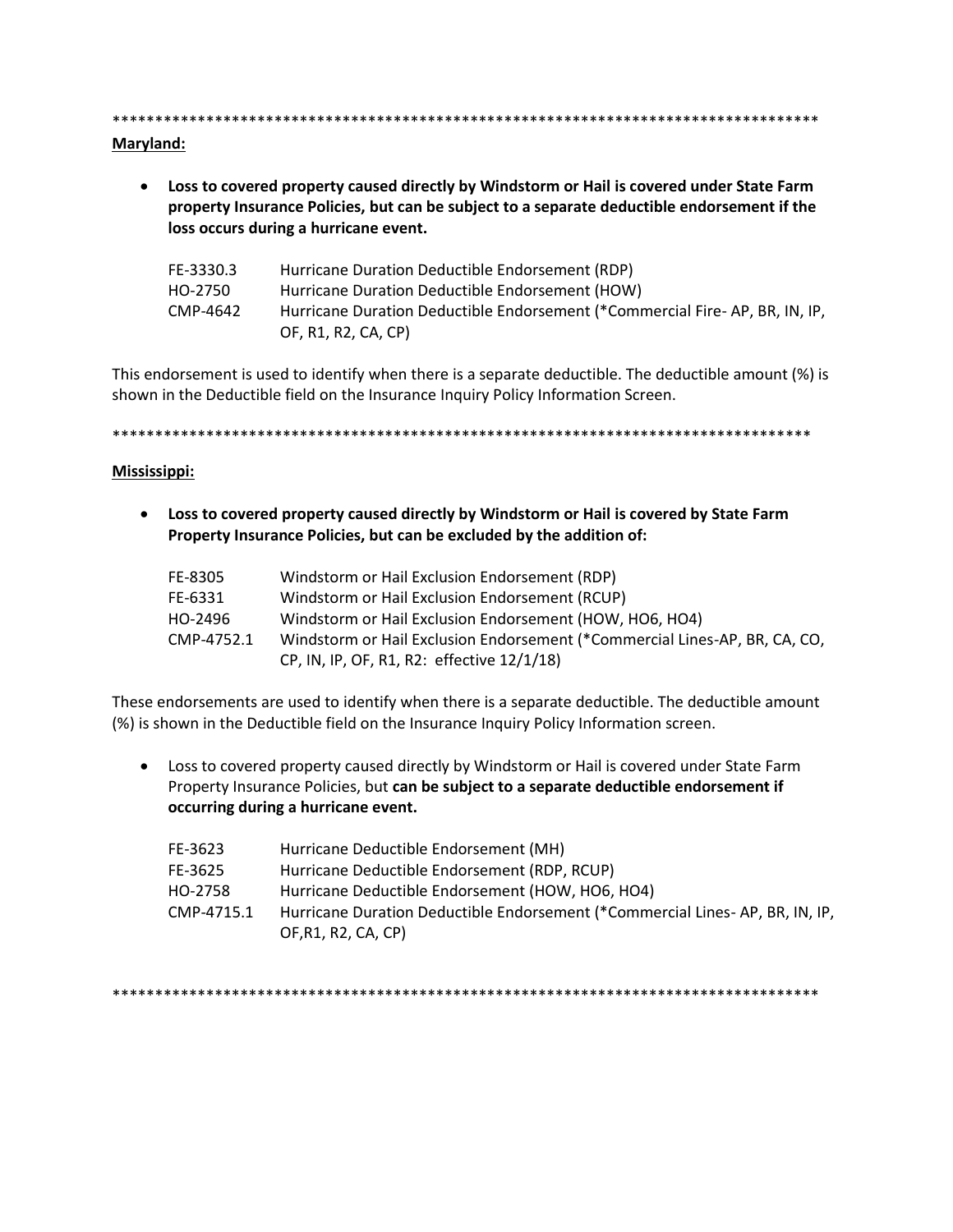#### Maryland:

• Loss to covered property caused directly by Windstorm or Hail is covered under State Farm property Insurance Policies, but can be subject to a separate deductible endorsement if the loss occurs during a hurricane event.

| FE-3330.3 | Hurricane Duration Deductible Endorsement (RDP)                             |
|-----------|-----------------------------------------------------------------------------|
| HO-2750   | Hurricane Duration Deductible Endorsement (HOW)                             |
| CMP-4642  | Hurricane Duration Deductible Endorsement (*Commercial Fire-AP, BR, IN, IP, |
|           | OF, R1, R2, CA, CP)                                                         |

This endorsement is used to identify when there is a separate deductible. The deductible amount (%) is shown in the Deductible field on the Insurance Inquiry Policy Information Screen.

#### Mississippi:

• Loss to covered property caused directly by Windstorm or Hail is covered by State Farm Property Insurance Policies, but can be excluded by the addition of:

| FE-8305    | Windstorm or Hail Exclusion Endorsement (RDP)                              |
|------------|----------------------------------------------------------------------------|
| FE-6331    | Windstorm or Hail Exclusion Endorsement (RCUP)                             |
| HO-2496    | Windstorm or Hail Exclusion Endorsement (HOW, HO6, HO4)                    |
| CMP-4752.1 | Windstorm or Hail Exclusion Endorsement (*Commercial Lines-AP, BR, CA, CO, |
|            | CP, IN, IP, OF, R1, R2: effective 12/1/18)                                 |

These endorsements are used to identify when there is a separate deductible. The deductible amount (%) is shown in the Deductible field on the Insurance Inquiry Policy Information screen.

• Loss to covered property caused directly by Windstorm or Hail is covered under State Farm Property Insurance Policies, but can be subject to a separate deductible endorsement if occurring during a hurricane event.

| FE-3623    | Hurricane Deductible Endorsement (MH)                                        |
|------------|------------------------------------------------------------------------------|
| FE-3625    | Hurricane Deductible Endorsement (RDP, RCUP)                                 |
| HO-2758    | Hurricane Deductible Endorsement (HOW, HO6, HO4)                             |
| CMP-4715.1 | Hurricane Duration Deductible Endorsement (*Commercial Lines-AP, BR, IN, IP, |
|            | OF, R1, R2, CA, CP)                                                          |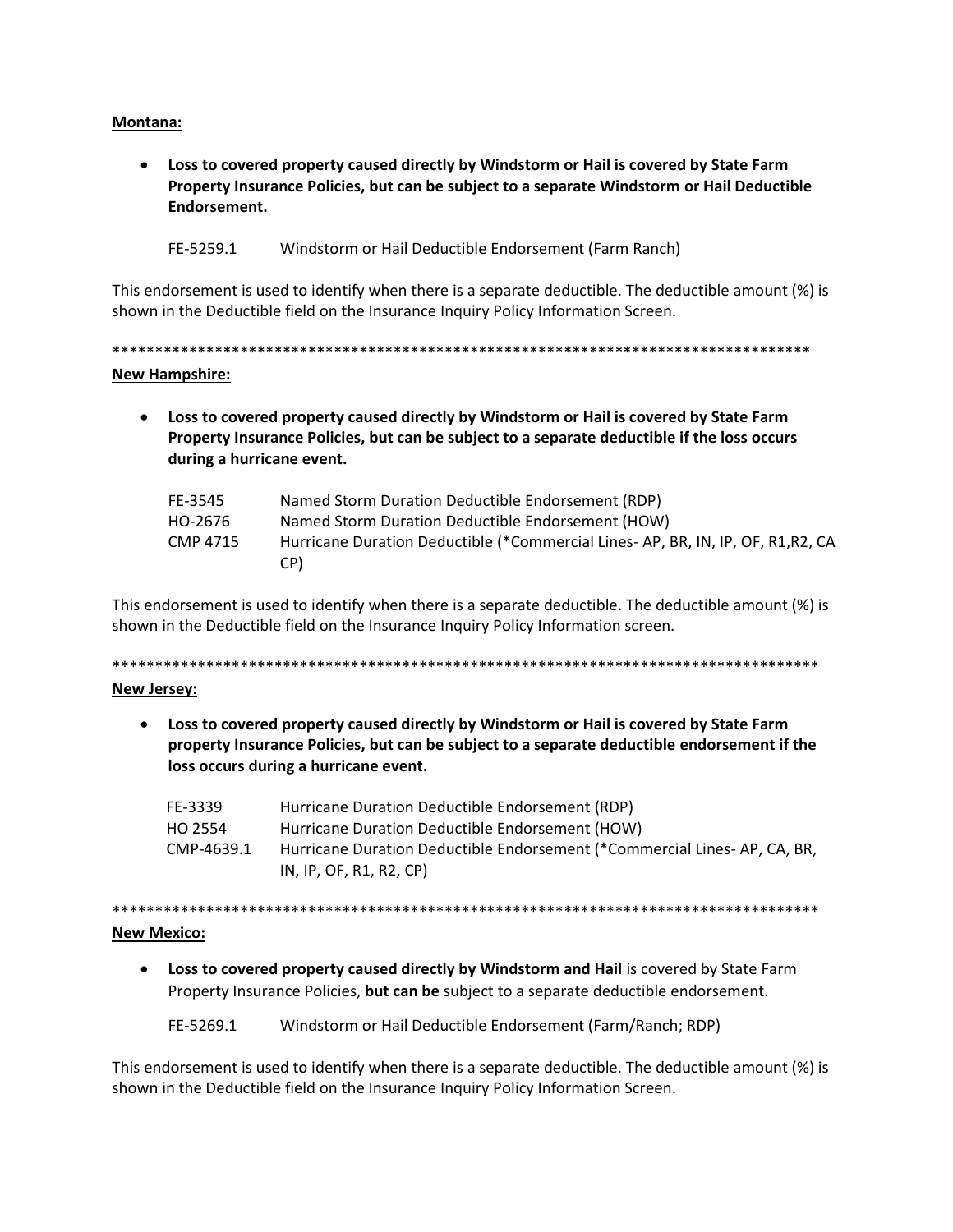#### **Montana:**

• Loss to covered property caused directly by Windstorm or Hail is covered by State Farm Property Insurance Policies, but can be subject to a separate Windstorm or Hail Deductible Endorsement.

FE-5259.1 Windstorm or Hail Deductible Endorsement (Farm Ranch)

This endorsement is used to identify when there is a separate deductible. The deductible amount (%) is shown in the Deductible field on the Insurance Inquiry Policy Information Screen.

**New Hampshire:** 

• Loss to covered property caused directly by Windstorm or Hail is covered by State Farm Property Insurance Policies, but can be subject to a separate deductible if the loss occurs during a hurricane event.

| FE-3545  | Named Storm Duration Deductible Endorsement (RDP)                                |
|----------|----------------------------------------------------------------------------------|
| HO-2676  | Named Storm Duration Deductible Endorsement (HOW)                                |
| CMP 4715 | Hurricane Duration Deductible (*Commercial Lines- AP, BR, IN, IP, OF, R1, R2, CA |
|          | CP)                                                                              |

This endorsement is used to identify when there is a separate deductible. The deductible amount (%) is shown in the Deductible field on the Insurance Inquiry Policy Information screen.

#### **New Jersey:**

• Loss to covered property caused directly by Windstorm or Hail is covered by State Farm property Insurance Policies, but can be subject to a separate deductible endorsement if the loss occurs during a hurricane event.

| FE-3339    | Hurricane Duration Deductible Endorsement (RDP)                          |
|------------|--------------------------------------------------------------------------|
| HO 2554    | Hurricane Duration Deductible Endorsement (HOW)                          |
| CMP-4639.1 | Hurricane Duration Deductible Endorsement (*Commercial Lines-AP, CA, BR, |
|            | IN, IP, OF, R1, R2, CP                                                   |

#### **New Mexico:**

• Loss to covered property caused directly by Windstorm and Hail is covered by State Farm Property Insurance Policies, but can be subject to a separate deductible endorsement.

FE-5269.1 Windstorm or Hail Deductible Endorsement (Farm/Ranch; RDP)

This endorsement is used to identify when there is a separate deductible. The deductible amount (%) is shown in the Deductible field on the Insurance Inquiry Policy Information Screen.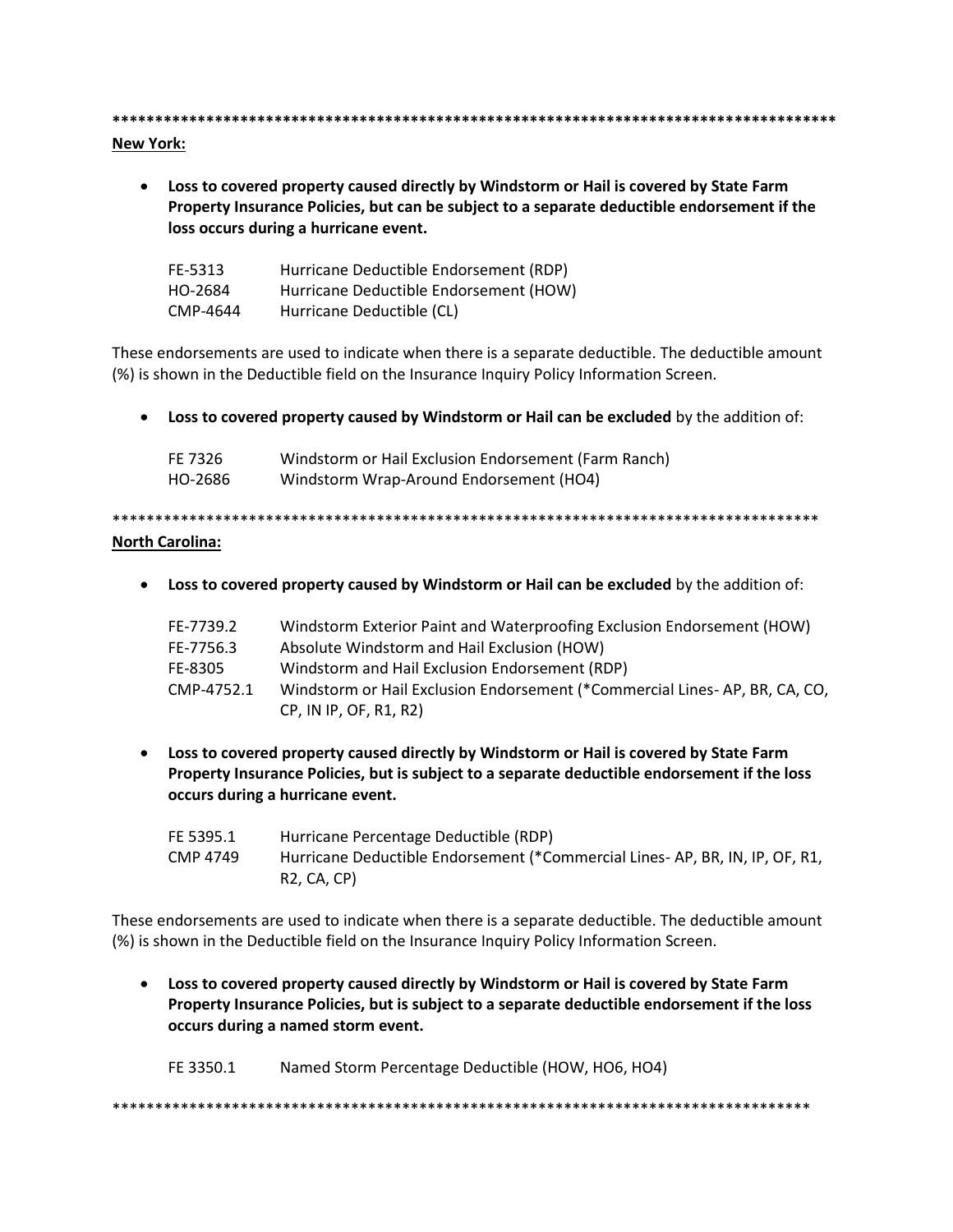#### **New York:**

• Loss to covered property caused directly by Windstorm or Hail is covered by State Farm Property Insurance Policies, but can be subject to a separate deductible endorsement if the loss occurs during a hurricane event.

| FE-5313  | Hurricane Deductible Endorsement (RDP) |
|----------|----------------------------------------|
| HO-2684  | Hurricane Deductible Endorsement (HOW) |
| CMP-4644 | Hurricane Deductible (CL)              |

These endorsements are used to indicate when there is a separate deductible. The deductible amount (%) is shown in the Deductible field on the Insurance Inquiry Policy Information Screen.

• Loss to covered property caused by Windstorm or Hail can be excluded by the addition of:

| FE 7326 | Windstorm or Hail Exclusion Endorsement (Farm Ranch) |
|---------|------------------------------------------------------|
| HO-2686 | Windstorm Wrap-Around Endorsement (HO4)              |

# **North Carolina:**

• Loss to covered property caused by Windstorm or Hail can be excluded by the addition of:

| FE-7739.2  | Windstorm Exterior Paint and Waterproofing Exclusion Endorsement (HOW)     |
|------------|----------------------------------------------------------------------------|
| FE-7756.3  | Absolute Windstorm and Hail Exclusion (HOW)                                |
| FE-8305    | Windstorm and Hail Exclusion Endorsement (RDP)                             |
| CMP-4752.1 | Windstorm or Hail Exclusion Endorsement (*Commercial Lines-AP, BR, CA, CO, |
|            | CP, IN IP, OF, R1, R2)                                                     |

• Loss to covered property caused directly by Windstorm or Hail is covered by State Farm Property Insurance Policies, but is subject to a separate deductible endorsement if the loss occurs during a hurricane event.

| FE 5395.1 | Hurricane Percentage Deductible (RDP)                                        |
|-----------|------------------------------------------------------------------------------|
| CMP 4749  | Hurricane Deductible Endorsement (*Commercial Lines- AP, BR, IN, IP, OF, R1, |
|           | R2. CA. CP)                                                                  |

These endorsements are used to indicate when there is a separate deductible. The deductible amount (%) is shown in the Deductible field on the Insurance Inquiry Policy Information Screen.

• Loss to covered property caused directly by Windstorm or Hail is covered by State Farm Property Insurance Policies, but is subject to a separate deductible endorsement if the loss occurs during a named storm event.

FE 3350.1 Named Storm Percentage Deductible (HOW, HO6, HO4)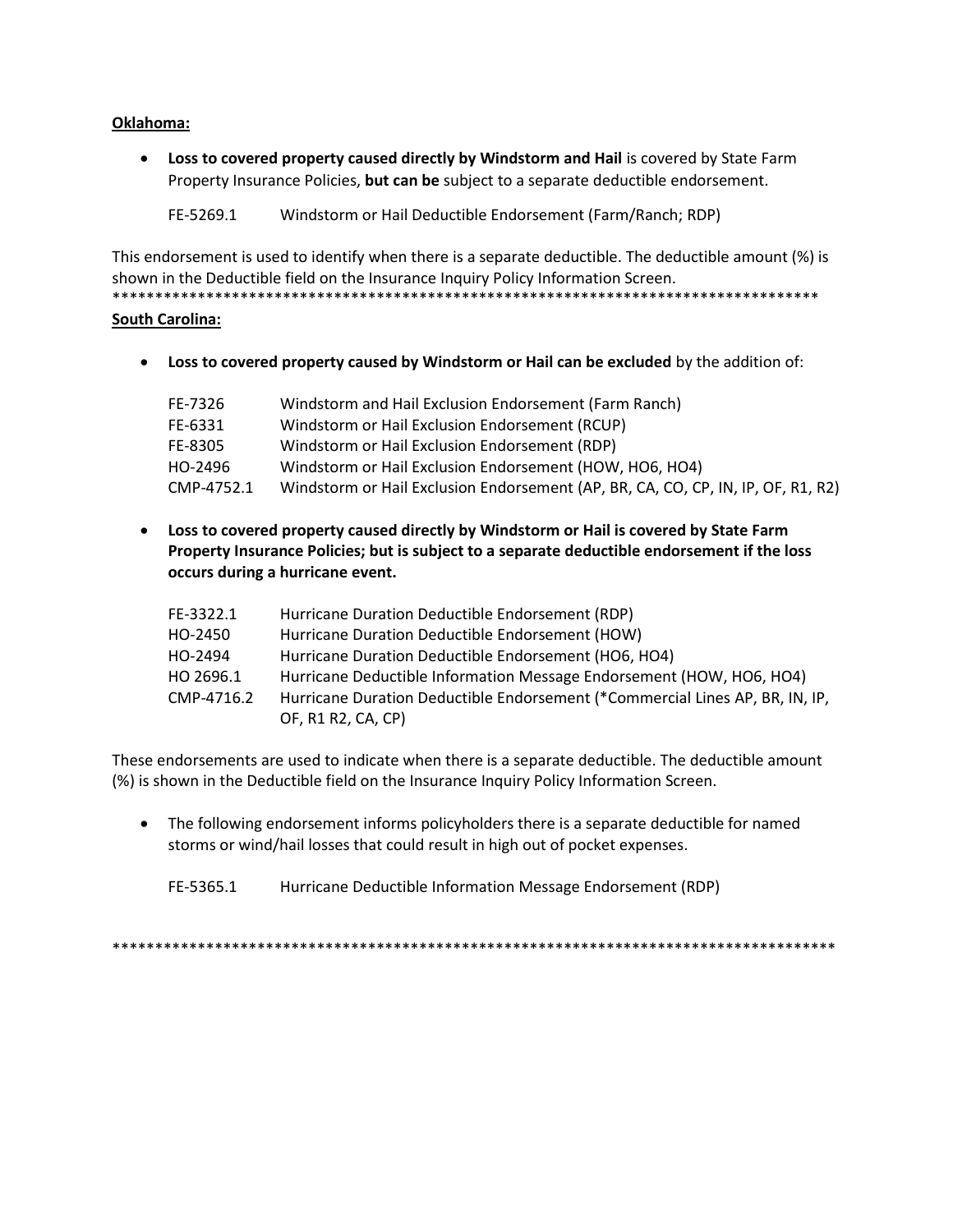# **Oklahoma:**

**Loss to covered property caused directly by Windstorm and Hail is covered by State Farm** Property Insurance Policies, **but can be** subject to a separate deductible endorsement.

FE-5269.1 Windstorm or Hail Deductible Endorsement (Farm/Ranch; RDP)

This endorsement is used to identify when there is a separate deductible. The deductible amount (%) is shown in the Deductible field on the Insurance Inquiry Policy Information Screen. \*\*\*\*\*\*\*\*\*\*\*\*\*\*\*\*\*\*\*\*\*\*\*\*\*\*\*\*\*\*\*\*\*\*\*\*\*\*\*\*\*\*\*\*\*\*\*\*\*\*\*\*\*\*\*\*\*\*\*\*\*\*\*\*\*\*\*\*\*\*\*\*\*\*\*\*\*\*\*\*\*\*\*

#### **South Carolina:**

**Loss to covered property caused by Windstorm or Hail can be excluded** by the addition of:

| FE-7326    | Windstorm and Hail Exclusion Endorsement (Farm Ranch)                            |
|------------|----------------------------------------------------------------------------------|
| FE-6331    | Windstorm or Hail Exclusion Endorsement (RCUP)                                   |
| FE-8305    | Windstorm or Hail Exclusion Endorsement (RDP)                                    |
| HO-2496    | Windstorm or Hail Exclusion Endorsement (HOW, HO6, HO4)                          |
| CMP-4752.1 | Windstorm or Hail Exclusion Endorsement (AP, BR, CA, CO, CP, IN, IP, OF, R1, R2) |

 **Loss to covered property caused directly by Windstorm or Hail is covered by State Farm Property Insurance Policies; but is subject to a separate deductible endorsement if the loss occurs during a hurricane event.**

| FE-3322.1  | Hurricane Duration Deductible Endorsement (RDP)                              |
|------------|------------------------------------------------------------------------------|
| HO-2450    | Hurricane Duration Deductible Endorsement (HOW)                              |
| HO-2494    | Hurricane Duration Deductible Endorsement (HO6, HO4)                         |
| HO 2696.1  | Hurricane Deductible Information Message Endorsement (HOW, HO6, HO4)         |
| CMP-4716.2 | Hurricane Duration Deductible Endorsement (*Commercial Lines AP, BR, IN, IP, |
|            | OF, R1 R2, CA, CP)                                                           |

These endorsements are used to indicate when there is a separate deductible. The deductible amount (%) is shown in the Deductible field on the Insurance Inquiry Policy Information Screen.

• The following endorsement informs policyholders there is a separate deductible for named storms or wind/hail losses that could result in high out of pocket expenses.

FE-5365.1 Hurricane Deductible Information Message Endorsement (RDP)

\*\*\*\*\*\*\*\*\*\*\*\*\*\*\*\*\*\*\*\*\*\*\*\*\*\*\*\*\*\*\*\*\*\*\*\*\*\*\*\*\*\*\*\*\*\*\*\*\*\*\*\*\*\*\*\*\*\*\*\*\*\*\*\*\*\*\*\*\*\*\*\*\*\*\*\*\*\*\*\*\*\*\*\*\*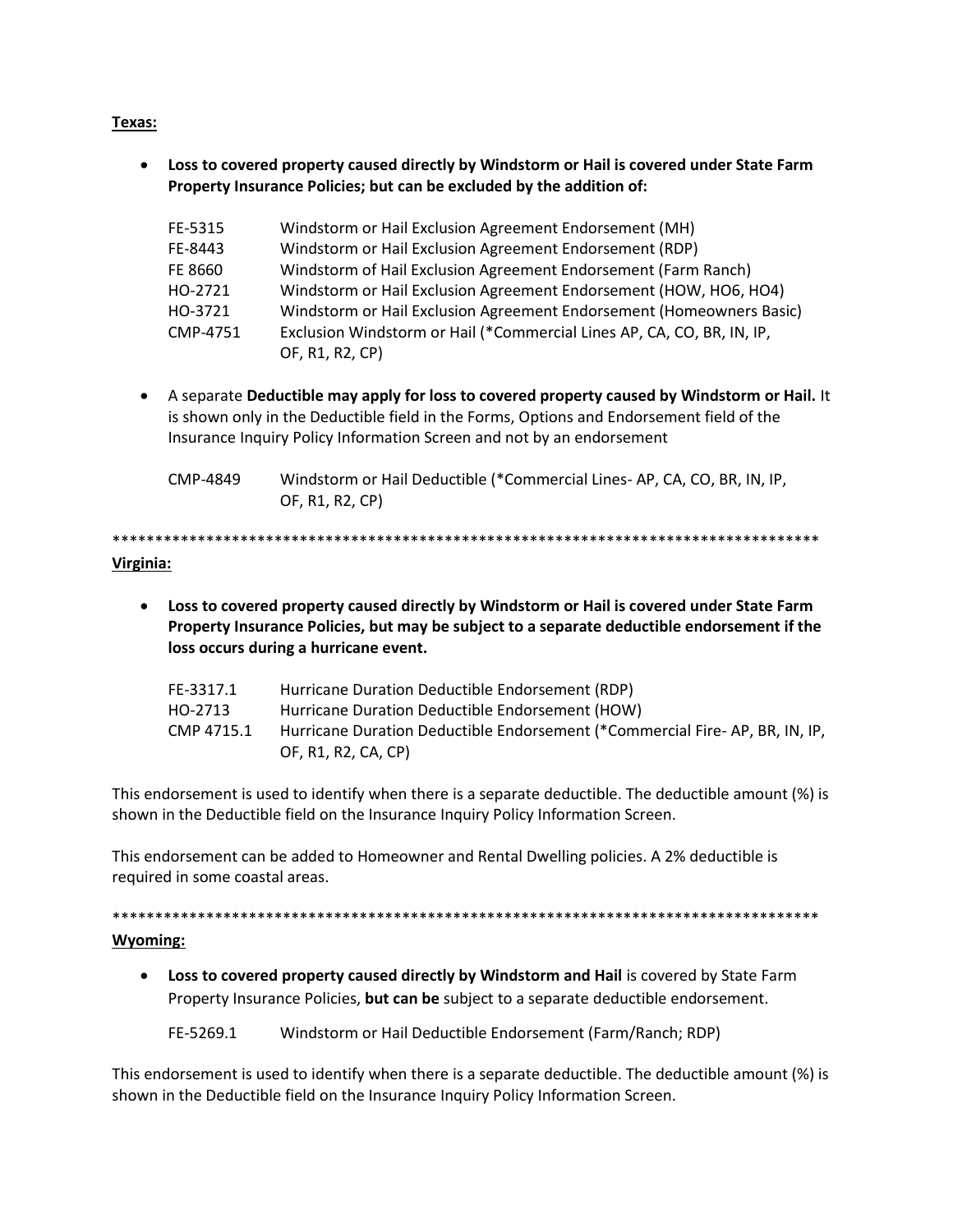# **Texas:**

 **Loss to covered property caused directly by Windstorm or Hail is covered under State Farm Property Insurance Policies; but can be excluded by the addition of:**

| FE-5315  | Windstorm or Hail Exclusion Agreement Endorsement (MH)                 |
|----------|------------------------------------------------------------------------|
| FE-8443  | Windstorm or Hail Exclusion Agreement Endorsement (RDP)                |
| FE 8660  | Windstorm of Hail Exclusion Agreement Endorsement (Farm Ranch)         |
| HO-2721  | Windstorm or Hail Exclusion Agreement Endorsement (HOW, HO6, HO4)      |
| HO-3721  | Windstorm or Hail Exclusion Agreement Endorsement (Homeowners Basic)   |
| CMP-4751 | Exclusion Windstorm or Hail (*Commercial Lines AP, CA, CO, BR, IN, IP, |
|          | OF, R1, R2, CP)                                                        |

- A separate **Deductible may apply for loss to covered property caused by Windstorm or Hail.** It is shown only in the Deductible field in the Forms, Options and Endorsement field of the Insurance Inquiry Policy Information Screen and not by an endorsement
	- CMP-4849 Windstorm or Hail Deductible (\*Commercial Lines- AP, CA, CO, BR, IN, IP, OF, R1, R2, CP)

\*\*\*\*\*\*\*\*\*\*\*\*\*\*\*\*\*\*\*\*\*\*\*\*\*\*\*\*\*\*\*\*\*\*\*\*\*\*\*\*\*\*\*\*\*\*\*\*\*\*\*\*\*\*\*\*\*\*\*\*\*\*\*\*\*\*\*\*\*\*\*\*\*\*\*\*\*\*\*\*\*\*\* **Virginia:**

 **Loss to covered property caused directly by Windstorm or Hail is covered under State Farm Property Insurance Policies, but may be subject to a separate deductible endorsement if the loss occurs during a hurricane event.**

| FE-3317.1  | Hurricane Duration Deductible Endorsement (RDP)                             |
|------------|-----------------------------------------------------------------------------|
| HO-2713    | Hurricane Duration Deductible Endorsement (HOW)                             |
| CMP 4715.1 | Hurricane Duration Deductible Endorsement (*Commercial Fire-AP, BR, IN, IP, |
|            | OF, R1, R2, CA, CP)                                                         |

This endorsement is used to identify when there is a separate deductible. The deductible amount (%) is shown in the Deductible field on the Insurance Inquiry Policy Information Screen.

This endorsement can be added to Homeowner and Rental Dwelling policies. A 2% deductible is required in some coastal areas.

\*\*\*\*\*\*\*\*\*\*\*\*\*\*\*\*\*\*\*\*\*\*\*\*\*\*\*\*\*\*\*\*\*\*\*\*\*\*\*\*\*\*\*\*\*\*\*\*\*\*\*\*\*\*\*\*\*\*\*\*\*\*\*\*\*\*\*\*\*\*\*\*\*\*\*\*\*\*\*\*\*\*\*

#### **Wyoming:**

**.** Loss to covered property caused directly by Windstorm and Hail is covered by State Farm Property Insurance Policies, **but can be** subject to a separate deductible endorsement.

FE-5269.1 Windstorm or Hail Deductible Endorsement (Farm/Ranch; RDP)

This endorsement is used to identify when there is a separate deductible. The deductible amount (%) is shown in the Deductible field on the Insurance Inquiry Policy Information Screen.